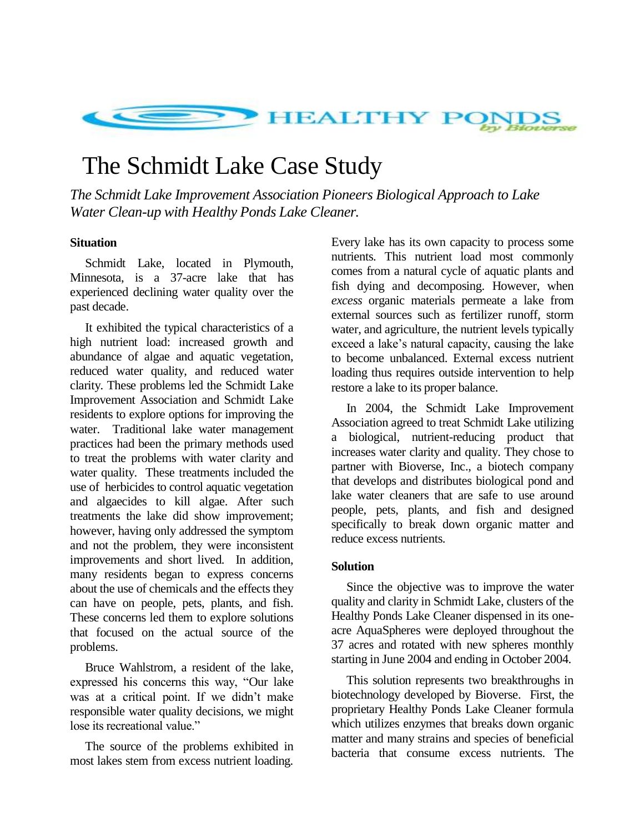

# The Schmidt Lake Case Study

*The Schmidt Lake Improvement Association Pioneers Biological Approach to Lake Water Clean-up with Healthy Ponds Lake Cleaner.*

## **Situation**

Schmidt Lake, located in Plymouth, Minnesota, is a 37-acre lake that has experienced declining water quality over the past decade.

It exhibited the typical characteristics of a high nutrient load: increased growth and abundance of algae and aquatic vegetation, reduced water quality, and reduced water clarity. These problems led the Schmidt Lake Improvement Association and Schmidt Lake residents to explore options for improving the water. Traditional lake water management practices had been the primary methods used to treat the problems with water clarity and water quality. These treatments included the use of herbicides to control aquatic vegetation and algaecides to kill algae. After such treatments the lake did show improvement; however, having only addressed the symptom and not the problem, they were inconsistent improvements and short lived. In addition, many residents began to express concerns about the use of chemicals and the effects they can have on people, pets, plants, and fish. These concerns led them to explore solutions that focused on the actual source of the problems.

Bruce Wahlstrom, a resident of the lake, expressed his concerns this way, "Our lake was at a critical point. If we didn't make responsible water quality decisions, we might lose its recreational value."

The source of the problems exhibited in most lakes stem from excess nutrient loading.

Every lake has its own capacity to process some nutrients. This nutrient load most commonly comes from a natural cycle of aquatic plants and fish dying and decomposing. However, when *excess* organic materials permeate a lake from external sources such as fertilizer runoff, storm water, and agriculture, the nutrient levels typically exceed a lake's natural capacity, causing the lake to become unbalanced. External excess nutrient loading thus requires outside intervention to help restore a lake to its proper balance.

In 2004, the Schmidt Lake Improvement Association agreed to treat Schmidt Lake utilizing a biological, nutrient-reducing product that increases water clarity and quality. They chose to partner with Bioverse, Inc., a biotech company that develops and distributes biological pond and lake water cleaners that are safe to use around people, pets, plants, and fish and designed specifically to break down organic matter and reduce excess nutrients.

### **Solution**

Since the objective was to improve the water quality and clarity in Schmidt Lake, clusters of the Healthy Ponds Lake Cleaner dispensed in its oneacre AquaSpheres were deployed throughout the 37 acres and rotated with new spheres monthly starting in June 2004 and ending in October 2004.

This solution represents two breakthroughs in biotechnology developed by Bioverse. First, the proprietary Healthy Ponds Lake Cleaner formula which utilizes enzymes that breaks down organic matter and many strains and species of beneficial bacteria that consume excess nutrients. The